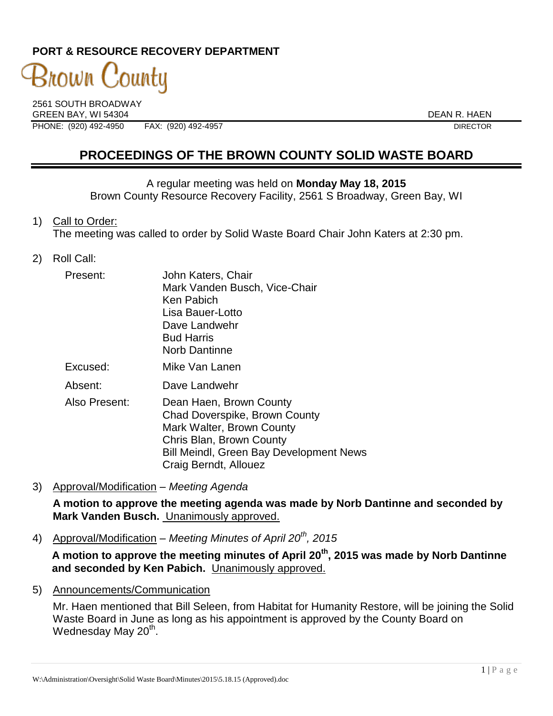### **PORT & RESOURCE RECOVERY DEPARTMENT**

# 3nown  $\mathrm C$ 'ounty

2561 SOUTH BROADWAY GREEN BAY, WI 54304 DEAN R. HAEN PHONE: (920) 492-4950 FAX: (920) 492-4957 DIRECTOR

## **PROCEEDINGS OF THE BROWN COUNTY SOLID WASTE BOARD**

A regular meeting was held on **Monday May 18, 2015** Brown County Resource Recovery Facility, 2561 S Broadway, Green Bay, WI

1) Call to Order:

The meeting was called to order by Solid Waste Board Chair John Katers at 2:30 pm.

2) Roll Call:

| Present:      | John Katers, Chair<br>Mark Vanden Busch, Vice-Chair<br>Ken Pabich<br>Lisa Bauer-Lotto<br>Dave Landwehr<br><b>Bud Harris</b><br><b>Norb Dantinne</b>                                   |
|---------------|---------------------------------------------------------------------------------------------------------------------------------------------------------------------------------------|
| Excused:      | Mike Van Lanen                                                                                                                                                                        |
| Absent:       | Dave Landwehr                                                                                                                                                                         |
| Also Present: | Dean Haen, Brown County<br>Chad Doverspike, Brown County<br>Mark Walter, Brown County<br>Chris Blan, Brown County<br>Bill Meindl, Green Bay Development News<br>Craig Berndt, Allouez |

3) Approval/Modification – *Meeting Agenda*

**A motion to approve the meeting agenda was made by Norb Dantinne and seconded by Mark Vanden Busch.** Unanimously approved.

4) Approval/Modification – *Meeting Minutes of April 20th, 2015*

**A motion to approve the meeting minutes of April 20th, 2015 was made by Norb Dantinne and seconded by Ken Pabich.** Unanimously approved.

5) Announcements/Communication

Mr. Haen mentioned that Bill Seleen, from Habitat for Humanity Restore, will be joining the Solid Waste Board in June as long as his appointment is approved by the County Board on Wednesday May 20<sup>th</sup>.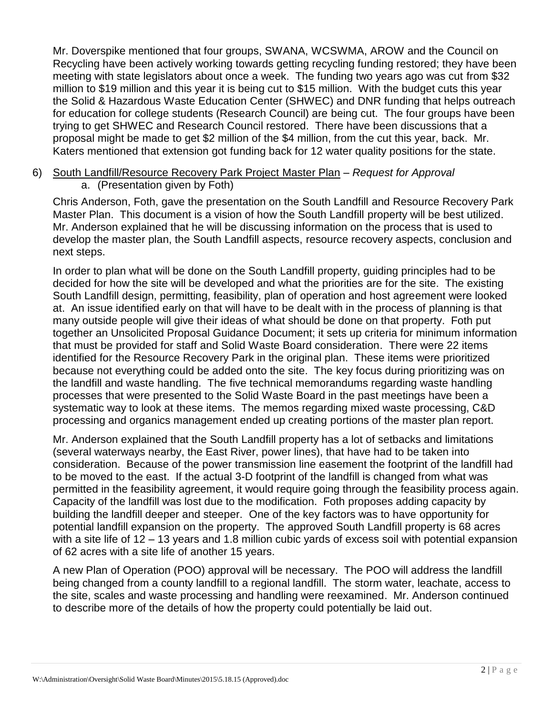Mr. Doverspike mentioned that four groups, SWANA, WCSWMA, AROW and the Council on Recycling have been actively working towards getting recycling funding restored; they have been meeting with state legislators about once a week. The funding two years ago was cut from \$32 million to \$19 million and this year it is being cut to \$15 million. With the budget cuts this year the Solid & Hazardous Waste Education Center (SHWEC) and DNR funding that helps outreach for education for college students (Research Council) are being cut. The four groups have been trying to get SHWEC and Research Council restored. There have been discussions that a proposal might be made to get \$2 million of the \$4 million, from the cut this year, back. Mr. Katers mentioned that extension got funding back for 12 water quality positions for the state.

6) South Landfill/Resource Recovery Park Project Master Plan – *Request for Approval* a. (Presentation given by Foth)

Chris Anderson, Foth, gave the presentation on the South Landfill and Resource Recovery Park Master Plan. This document is a vision of how the South Landfill property will be best utilized. Mr. Anderson explained that he will be discussing information on the process that is used to develop the master plan, the South Landfill aspects, resource recovery aspects, conclusion and next steps.

In order to plan what will be done on the South Landfill property, guiding principles had to be decided for how the site will be developed and what the priorities are for the site. The existing South Landfill design, permitting, feasibility, plan of operation and host agreement were looked at. An issue identified early on that will have to be dealt with in the process of planning is that many outside people will give their ideas of what should be done on that property. Foth put together an Unsolicited Proposal Guidance Document; it sets up criteria for minimum information that must be provided for staff and Solid Waste Board consideration. There were 22 items identified for the Resource Recovery Park in the original plan. These items were prioritized because not everything could be added onto the site. The key focus during prioritizing was on the landfill and waste handling. The five technical memorandums regarding waste handling processes that were presented to the Solid Waste Board in the past meetings have been a systematic way to look at these items. The memos regarding mixed waste processing, C&D processing and organics management ended up creating portions of the master plan report.

Mr. Anderson explained that the South Landfill property has a lot of setbacks and limitations (several waterways nearby, the East River, power lines), that have had to be taken into consideration. Because of the power transmission line easement the footprint of the landfill had to be moved to the east. If the actual 3-D footprint of the landfill is changed from what was permitted in the feasibility agreement, it would require going through the feasibility process again. Capacity of the landfill was lost due to the modification. Foth proposes adding capacity by building the landfill deeper and steeper. One of the key factors was to have opportunity for potential landfill expansion on the property. The approved South Landfill property is 68 acres with a site life of 12 – 13 years and 1.8 million cubic yards of excess soil with potential expansion of 62 acres with a site life of another 15 years.

A new Plan of Operation (POO) approval will be necessary. The POO will address the landfill being changed from a county landfill to a regional landfill. The storm water, leachate, access to the site, scales and waste processing and handling were reexamined. Mr. Anderson continued to describe more of the details of how the property could potentially be laid out.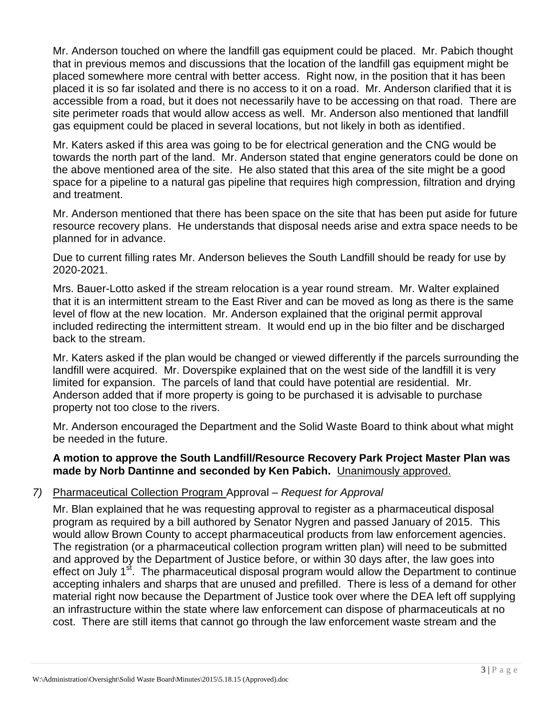Mr. Anderson touched on where the landfill gas equipment could be placed. Mr. Pabich thought that in previous memos and discussions that the location of the landfill gas equipment might be placed somewhere more central with better access. Right now, in the position that it has been placed it is so far isolated and there is no access to it on a road. Mr. Anderson clarified that it is accessible from a road, but it does not necessarily have to be accessing on that road. There are site perimeter roads that would allow access as well. Mr. Anderson also mentioned that landfill gas equipment could be placed in several locations, but not likely in both as identified.

Mr. Katers asked if this area was going to be for electrical generation and the CNG would be towards the north part of the land. Mr. Anderson stated that engine generators could be done on the above mentioned area of the site. He also stated that this area of the site might be a good space for a pipeline to a natural gas pipeline that requires high compression, filtration and drying and treatment.

Mr. Anderson mentioned that there has been space on the site that has been put aside for future resource recovery plans. He understands that disposal needs arise and extra space needs to be planned for in advance.

Due to current filling rates Mr. Anderson believes the South Landfill should be ready for use by 2020-2021.

Mrs. Bauer-Lotto asked if the stream relocation is a year round stream. Mr. Walter explained that it is an intermittent stream to the East River and can be moved as long as there is the same level of flow at the new location. Mr. Anderson explained that the original permit approval included redirecting the intermittent stream. It would end up in the bio filter and be discharged back to the stream.

Mr. Katers asked if the plan would be changed or viewed differently if the parcels surrounding the landfill were acquired. Mr. Doverspike explained that on the west side of the landfill it is very limited for expansion. The parcels of land that could have potential are residential. Mr. Anderson added that if more property is going to be purchased it is advisable to purchase property not too close to the rivers.

Mr. Anderson encouraged the Department and the Solid Waste Board to think about what might be needed in the future.

#### **A motion to approve the South Landfill/Resource Recovery Park Project Master Plan was made by Norb Dantinne and seconded by Ken Pabich.** Unanimously approved.

#### *7)* Pharmaceutical Collection Program Approval – *Request for Approval*

Mr. Blan explained that he was requesting approval to register as a pharmaceutical disposal program as required by a bill authored by Senator Nygren and passed January of 2015. This would allow Brown County to accept pharmaceutical products from law enforcement agencies. The registration (or a pharmaceutical collection program written plan) will need to be submitted and approved by the Department of Justice before, or within 30 days after, the law goes into effect on July 1<sup>st</sup>. The pharmaceutical disposal program would allow the Department to continue accepting inhalers and sharps that are unused and prefilled. There is less of a demand for other material right now because the Department of Justice took over where the DEA left off supplying an infrastructure within the state where law enforcement can dispose of pharmaceuticals at no cost. There are still items that cannot go through the law enforcement waste stream and the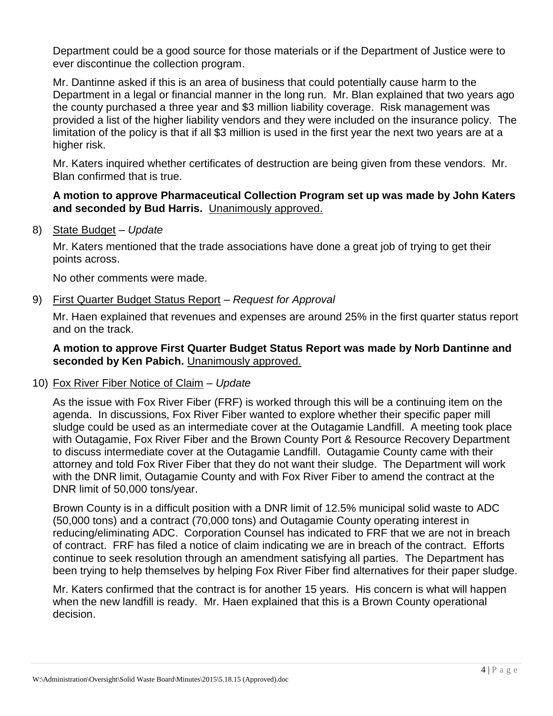Department could be a good source for those materials or if the Department of Justice were to ever discontinue the collection program.

Mr. Dantinne asked if this is an area of business that could potentially cause harm to the Department in a legal or financial manner in the long run. Mr. Blan explained that two years ago the county purchased a three year and \$3 million liability coverage. Risk management was provided a list of the higher liability vendors and they were included on the insurance policy. The limitation of the policy is that if all \$3 million is used in the first year the next two years are at a higher risk.

Mr. Katers inquired whether certificates of destruction are being given from these vendors. Mr. Blan confirmed that is true.

#### **A motion to approve Pharmaceutical Collection Program set up was made by John Katers and seconded by Bud Harris.** Unanimously approved.

8) State Budget *– Update* 

Mr. Katers mentioned that the trade associations have done a great job of trying to get their points across.

No other comments were made.

#### 9) First Quarter Budget Status Report – *Request for Approval*

Mr. Haen explained that revenues and expenses are around 25% in the first quarter status report and on the track.

#### **A motion to approve First Quarter Budget Status Report was made by Norb Dantinne and seconded by Ken Pabich.** Unanimously approved.

#### 10) Fox River Fiber Notice of Claim – *Update*

As the issue with Fox River Fiber (FRF) is worked through this will be a continuing item on the agenda. In discussions, Fox River Fiber wanted to explore whether their specific paper mill sludge could be used as an intermediate cover at the Outagamie Landfill. A meeting took place with Outagamie, Fox River Fiber and the Brown County Port & Resource Recovery Department to discuss intermediate cover at the Outagamie Landfill. Outagamie County came with their attorney and told Fox River Fiber that they do not want their sludge. The Department will work with the DNR limit, Outagamie County and with Fox River Fiber to amend the contract at the DNR limit of 50,000 tons/year.

Brown County is in a difficult position with a DNR limit of 12.5% municipal solid waste to ADC (50,000 tons) and a contract (70,000 tons) and Outagamie County operating interest in reducing/eliminating ADC. Corporation Counsel has indicated to FRF that we are not in breach of contract. FRF has filed a notice of claim indicating we are in breach of the contract. Efforts continue to seek resolution through an amendment satisfying all parties. The Department has been trying to help themselves by helping Fox River Fiber find alternatives for their paper sludge.

Mr. Katers confirmed that the contract is for another 15 years. His concern is what will happen when the new landfill is ready. Mr. Haen explained that this is a Brown County operational decision.